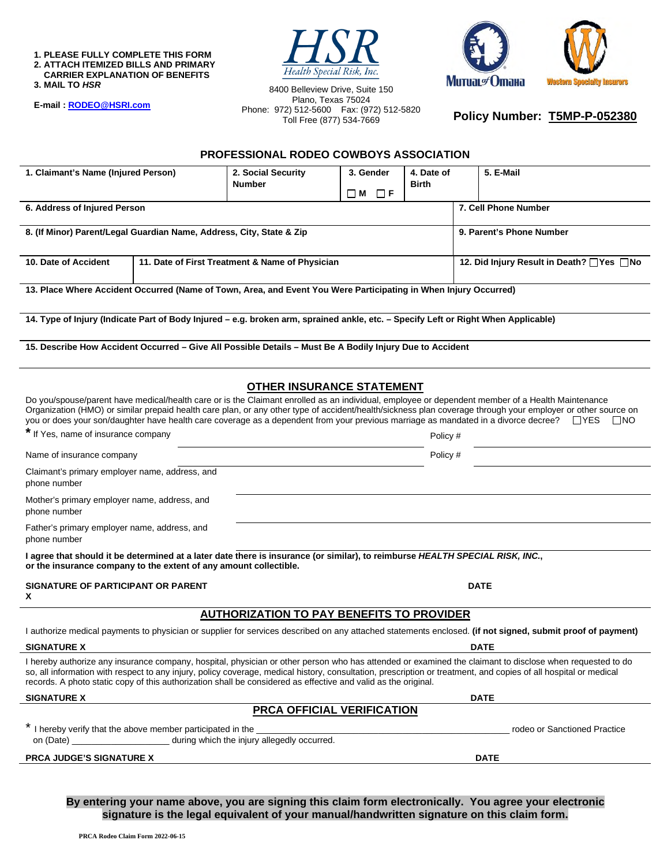**1. PLEASE FULLY COMPLETE THIS FORM 2. ATTACH ITEMIZED BILLS AND PRIMARY CARRIER EXPLANATION OF BENEFITS** 

**3. MAIL TO** *HSR* 

**E-mail [: RODEO@HSRI.com](mailto:RODEO@HSRI.com)**

8400 Belleview Drive, Suite 150 Plano, Texas 75024 Phone: 972) 512-5600 Fax: (972) 512-5820 Toll Free (877) 534-7669

Health Special Risk, Inc.



**Policy Number: T5MP-P-052380** 

#### **PROFESSIONAL RODEO COWBOYS ASSOCIATION**

| 1. Claimant's Name (Injured Person)                                                                                                                                                                                                                                                                                                                                                                                                                                                                                                                                                                                                                                                                                                                                                                                                                                                                                                                                                                                                                                                                                                                                                                                                                                                                                                                                                                                                                                                                                                                                                                                                                                                                                                                                                                                                                                                                                                                                                                                                                                                                                                                                 |  | 2. Social Security<br><b>Number</b>             | 3. Gender                    | 4. Date of<br><b>Birth</b> | 5. E-Mail                                  |  |
|---------------------------------------------------------------------------------------------------------------------------------------------------------------------------------------------------------------------------------------------------------------------------------------------------------------------------------------------------------------------------------------------------------------------------------------------------------------------------------------------------------------------------------------------------------------------------------------------------------------------------------------------------------------------------------------------------------------------------------------------------------------------------------------------------------------------------------------------------------------------------------------------------------------------------------------------------------------------------------------------------------------------------------------------------------------------------------------------------------------------------------------------------------------------------------------------------------------------------------------------------------------------------------------------------------------------------------------------------------------------------------------------------------------------------------------------------------------------------------------------------------------------------------------------------------------------------------------------------------------------------------------------------------------------------------------------------------------------------------------------------------------------------------------------------------------------------------------------------------------------------------------------------------------------------------------------------------------------------------------------------------------------------------------------------------------------------------------------------------------------------------------------------------------------|--|-------------------------------------------------|------------------------------|----------------------------|--------------------------------------------|--|
|                                                                                                                                                                                                                                                                                                                                                                                                                                                                                                                                                                                                                                                                                                                                                                                                                                                                                                                                                                                                                                                                                                                                                                                                                                                                                                                                                                                                                                                                                                                                                                                                                                                                                                                                                                                                                                                                                                                                                                                                                                                                                                                                                                     |  |                                                 | $\Box$ M<br>$\Box$ F         |                            |                                            |  |
| 6. Address of Injured Person                                                                                                                                                                                                                                                                                                                                                                                                                                                                                                                                                                                                                                                                                                                                                                                                                                                                                                                                                                                                                                                                                                                                                                                                                                                                                                                                                                                                                                                                                                                                                                                                                                                                                                                                                                                                                                                                                                                                                                                                                                                                                                                                        |  |                                                 |                              |                            | 7. Cell Phone Number                       |  |
| 8. (If Minor) Parent/Legal Guardian Name, Address, City, State & Zip                                                                                                                                                                                                                                                                                                                                                                                                                                                                                                                                                                                                                                                                                                                                                                                                                                                                                                                                                                                                                                                                                                                                                                                                                                                                                                                                                                                                                                                                                                                                                                                                                                                                                                                                                                                                                                                                                                                                                                                                                                                                                                |  |                                                 |                              |                            | 9. Parent's Phone Number                   |  |
| 10. Date of Accident                                                                                                                                                                                                                                                                                                                                                                                                                                                                                                                                                                                                                                                                                                                                                                                                                                                                                                                                                                                                                                                                                                                                                                                                                                                                                                                                                                                                                                                                                                                                                                                                                                                                                                                                                                                                                                                                                                                                                                                                                                                                                                                                                |  | 11. Date of First Treatment & Name of Physician |                              |                            | 12. Did Injury Result in Death? ■ Yes ■ No |  |
|                                                                                                                                                                                                                                                                                                                                                                                                                                                                                                                                                                                                                                                                                                                                                                                                                                                                                                                                                                                                                                                                                                                                                                                                                                                                                                                                                                                                                                                                                                                                                                                                                                                                                                                                                                                                                                                                                                                                                                                                                                                                                                                                                                     |  |                                                 |                              |                            |                                            |  |
|                                                                                                                                                                                                                                                                                                                                                                                                                                                                                                                                                                                                                                                                                                                                                                                                                                                                                                                                                                                                                                                                                                                                                                                                                                                                                                                                                                                                                                                                                                                                                                                                                                                                                                                                                                                                                                                                                                                                                                                                                                                                                                                                                                     |  |                                                 |                              |                            |                                            |  |
|                                                                                                                                                                                                                                                                                                                                                                                                                                                                                                                                                                                                                                                                                                                                                                                                                                                                                                                                                                                                                                                                                                                                                                                                                                                                                                                                                                                                                                                                                                                                                                                                                                                                                                                                                                                                                                                                                                                                                                                                                                                                                                                                                                     |  |                                                 |                              |                            |                                            |  |
|                                                                                                                                                                                                                                                                                                                                                                                                                                                                                                                                                                                                                                                                                                                                                                                                                                                                                                                                                                                                                                                                                                                                                                                                                                                                                                                                                                                                                                                                                                                                                                                                                                                                                                                                                                                                                                                                                                                                                                                                                                                                                                                                                                     |  |                                                 |                              |                            |                                            |  |
|                                                                                                                                                                                                                                                                                                                                                                                                                                                                                                                                                                                                                                                                                                                                                                                                                                                                                                                                                                                                                                                                                                                                                                                                                                                                                                                                                                                                                                                                                                                                                                                                                                                                                                                                                                                                                                                                                                                                                                                                                                                                                                                                                                     |  |                                                 |                              |                            | ∐YES.<br>$\Box$ NO                         |  |
|                                                                                                                                                                                                                                                                                                                                                                                                                                                                                                                                                                                                                                                                                                                                                                                                                                                                                                                                                                                                                                                                                                                                                                                                                                                                                                                                                                                                                                                                                                                                                                                                                                                                                                                                                                                                                                                                                                                                                                                                                                                                                                                                                                     |  |                                                 |                              |                            |                                            |  |
| Name of insurance company                                                                                                                                                                                                                                                                                                                                                                                                                                                                                                                                                                                                                                                                                                                                                                                                                                                                                                                                                                                                                                                                                                                                                                                                                                                                                                                                                                                                                                                                                                                                                                                                                                                                                                                                                                                                                                                                                                                                                                                                                                                                                                                                           |  |                                                 | Policy #                     |                            |                                            |  |
| phone number                                                                                                                                                                                                                                                                                                                                                                                                                                                                                                                                                                                                                                                                                                                                                                                                                                                                                                                                                                                                                                                                                                                                                                                                                                                                                                                                                                                                                                                                                                                                                                                                                                                                                                                                                                                                                                                                                                                                                                                                                                                                                                                                                        |  |                                                 |                              |                            |                                            |  |
| phone number                                                                                                                                                                                                                                                                                                                                                                                                                                                                                                                                                                                                                                                                                                                                                                                                                                                                                                                                                                                                                                                                                                                                                                                                                                                                                                                                                                                                                                                                                                                                                                                                                                                                                                                                                                                                                                                                                                                                                                                                                                                                                                                                                        |  |                                                 |                              |                            |                                            |  |
| phone number                                                                                                                                                                                                                                                                                                                                                                                                                                                                                                                                                                                                                                                                                                                                                                                                                                                                                                                                                                                                                                                                                                                                                                                                                                                                                                                                                                                                                                                                                                                                                                                                                                                                                                                                                                                                                                                                                                                                                                                                                                                                                                                                                        |  |                                                 |                              |                            |                                            |  |
|                                                                                                                                                                                                                                                                                                                                                                                                                                                                                                                                                                                                                                                                                                                                                                                                                                                                                                                                                                                                                                                                                                                                                                                                                                                                                                                                                                                                                                                                                                                                                                                                                                                                                                                                                                                                                                                                                                                                                                                                                                                                                                                                                                     |  |                                                 |                              |                            |                                            |  |
| x                                                                                                                                                                                                                                                                                                                                                                                                                                                                                                                                                                                                                                                                                                                                                                                                                                                                                                                                                                                                                                                                                                                                                                                                                                                                                                                                                                                                                                                                                                                                                                                                                                                                                                                                                                                                                                                                                                                                                                                                                                                                                                                                                                   |  |                                                 |                              |                            | <b>DATE</b>                                |  |
|                                                                                                                                                                                                                                                                                                                                                                                                                                                                                                                                                                                                                                                                                                                                                                                                                                                                                                                                                                                                                                                                                                                                                                                                                                                                                                                                                                                                                                                                                                                                                                                                                                                                                                                                                                                                                                                                                                                                                                                                                                                                                                                                                                     |  |                                                 |                              |                            |                                            |  |
|                                                                                                                                                                                                                                                                                                                                                                                                                                                                                                                                                                                                                                                                                                                                                                                                                                                                                                                                                                                                                                                                                                                                                                                                                                                                                                                                                                                                                                                                                                                                                                                                                                                                                                                                                                                                                                                                                                                                                                                                                                                                                                                                                                     |  |                                                 |                              |                            |                                            |  |
| <b>SIGNATURE X</b>                                                                                                                                                                                                                                                                                                                                                                                                                                                                                                                                                                                                                                                                                                                                                                                                                                                                                                                                                                                                                                                                                                                                                                                                                                                                                                                                                                                                                                                                                                                                                                                                                                                                                                                                                                                                                                                                                                                                                                                                                                                                                                                                                  |  |                                                 |                              |                            | <b>DATE</b>                                |  |
|                                                                                                                                                                                                                                                                                                                                                                                                                                                                                                                                                                                                                                                                                                                                                                                                                                                                                                                                                                                                                                                                                                                                                                                                                                                                                                                                                                                                                                                                                                                                                                                                                                                                                                                                                                                                                                                                                                                                                                                                                                                                                                                                                                     |  |                                                 |                              |                            |                                            |  |
| <b>SIGNATURE X</b>                                                                                                                                                                                                                                                                                                                                                                                                                                                                                                                                                                                                                                                                                                                                                                                                                                                                                                                                                                                                                                                                                                                                                                                                                                                                                                                                                                                                                                                                                                                                                                                                                                                                                                                                                                                                                                                                                                                                                                                                                                                                                                                                                  |  |                                                 |                              |                            | <b>DATE</b>                                |  |
| <b>PRCA OFFICIAL VERIFICATION</b>                                                                                                                                                                                                                                                                                                                                                                                                                                                                                                                                                                                                                                                                                                                                                                                                                                                                                                                                                                                                                                                                                                                                                                                                                                                                                                                                                                                                                                                                                                                                                                                                                                                                                                                                                                                                                                                                                                                                                                                                                                                                                                                                   |  |                                                 |                              |                            |                                            |  |
| 13. Place Where Accident Occurred (Name of Town, Area, and Event You Were Participating in When Injury Occurred)<br>14. Type of Injury (Indicate Part of Body Injured – e.g. broken arm, sprained ankle, etc. – Specify Left or Right When Applicable)<br>15. Describe How Accident Occurred - Give All Possible Details - Must Be A Bodily Injury Due to Accident<br><b>OTHER INSURANCE STATEMENT</b><br>Do you/spouse/parent have medical/health care or is the Claimant enrolled as an individual, employee or dependent member of a Health Maintenance<br>Organization (HMO) or similar prepaid health care plan, or any other type of accident/health/sickness plan coverage through your employer or other source on<br>you or does your son/daughter have health care coverage as a dependent from your previous marriage as mandated in a divorce decree?<br>* If Yes, name of insurance company<br>Policy #<br>Claimant's primary employer name, address, and<br>Mother's primary employer name, address, and<br>Father's primary employer name, address, and<br>I agree that should it be determined at a later date there is insurance (or similar), to reimburse HEALTH SPECIAL RISK, INC.,<br>or the insurance company to the extent of any amount collectible.<br>SIGNATURE OF PARTICIPANT OR PARENT<br><b>AUTHORIZATION TO PAY BENEFITS TO PROVIDER</b><br>I authorize medical payments to physician or supplier for services described on any attached statements enclosed. (if not signed, submit proof of payment)<br>I hereby authorize any insurance company, hospital, physician or other person who has attended or examined the claimant to disclose when requested to do<br>so, all information with respect to any injury, policy coverage, medical history, consultation, prescription or treatment, and copies of all hospital or medical<br>records. A photo static copy of this authorization shall be considered as effective and valid as the original.<br>* I hereby verify that the above member participated in the<br>during which the injury allegedly occurred.<br>on (Date)<br><b>PRCA JUDGE'S SIGNATURE X</b><br><b>DATE</b> |  |                                                 | rodeo or Sanctioned Practice |                            |                                            |  |
|                                                                                                                                                                                                                                                                                                                                                                                                                                                                                                                                                                                                                                                                                                                                                                                                                                                                                                                                                                                                                                                                                                                                                                                                                                                                                                                                                                                                                                                                                                                                                                                                                                                                                                                                                                                                                                                                                                                                                                                                                                                                                                                                                                     |  |                                                 |                              |                            |                                            |  |

**By entering your name above, you are signing this claim form electronically. You agree your electronic signature is the legal equivalent of your manual/handwritten signature on this claim form.**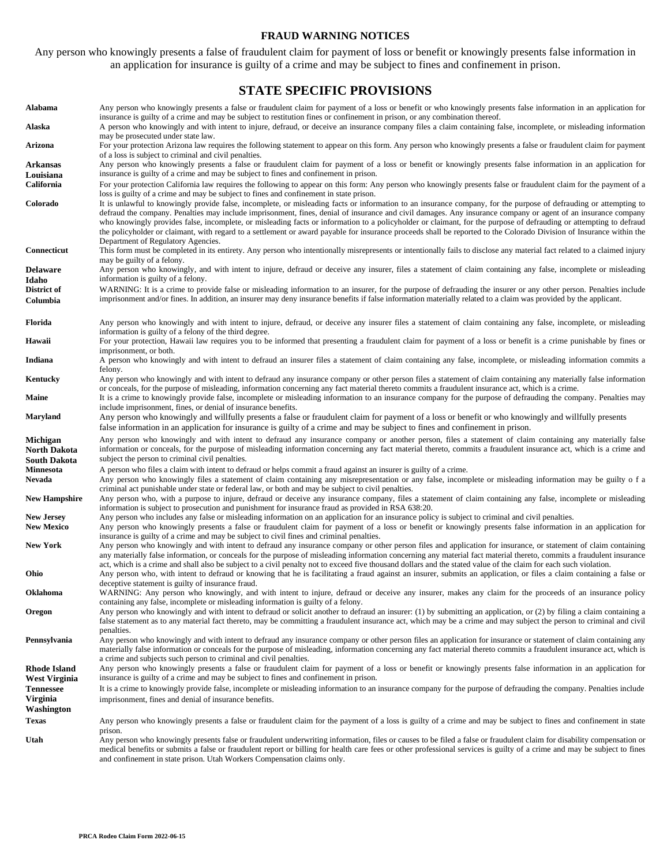#### **FRAUD WARNING NOTICES**

Any person who knowingly presents a false of fraudulent claim for payment of loss or benefit or knowingly presents false information in an application for insurance is guilty of a crime and may be subject to fines and confinement in prison.

#### **STATE SPECIFIC PROVISIONS**

| Alabama                              | Any person who knowingly presents a false or fraudulent claim for payment of a loss or benefit or who knowingly presents false information in an application for<br>insurance is guilty of a crime and may be subject to restitution fines or confinement in prison, or any combination thereof.                                                                                                                                                                                                                                                                                                                                                                                                                                                                                                                 |
|--------------------------------------|------------------------------------------------------------------------------------------------------------------------------------------------------------------------------------------------------------------------------------------------------------------------------------------------------------------------------------------------------------------------------------------------------------------------------------------------------------------------------------------------------------------------------------------------------------------------------------------------------------------------------------------------------------------------------------------------------------------------------------------------------------------------------------------------------------------|
| Alaska                               | A person who knowingly and with intent to injure, defraud, or deceive an insurance company files a claim containing false, incomplete, or misleading information<br>may be prosecuted under state law.                                                                                                                                                                                                                                                                                                                                                                                                                                                                                                                                                                                                           |
| Arizona                              | For your protection Arizona law requires the following statement to appear on this form. Any person who knowingly presents a false or fraudulent claim for payment<br>of a loss is subject to criminal and civil penalties.                                                                                                                                                                                                                                                                                                                                                                                                                                                                                                                                                                                      |
| Arkansas                             | Any person who knowingly presents a false or fraudulent claim for payment of a loss or benefit or knowingly presents false information in an application for                                                                                                                                                                                                                                                                                                                                                                                                                                                                                                                                                                                                                                                     |
| Louisiana                            | insurance is guilty of a crime and may be subject to fines and confinement in prison.                                                                                                                                                                                                                                                                                                                                                                                                                                                                                                                                                                                                                                                                                                                            |
| California                           | For your protection California law requires the following to appear on this form: Any person who knowingly presents false or fraudulent claim for the payment of a                                                                                                                                                                                                                                                                                                                                                                                                                                                                                                                                                                                                                                               |
| Colorado                             | loss is guilty of a crime and may be subject to fines and confinement in state prison.<br>It is unlawful to knowingly provide false, incomplete, or misleading facts or information to an insurance company, for the purpose of defrauding or attempting to<br>defraud the company. Penalties may include imprisonment, fines, denial of insurance and civil damages. Any insurance company or agent of an insurance company<br>who knowingly provides false, incomplete, or misleading facts or information to a policyholder or claimant, for the purpose of defrauding or attempting to defraud<br>the policyholder or claimant, with regard to a settlement or award payable for insurance proceeds shall be reported to the Colorado Division of Insurance within the<br>Department of Regulatory Agencies. |
| Connecticut                          | This form must be completed in its entirety. Any person who intentionally misrepresents or intentionally fails to disclose any material fact related to a claimed injury<br>may be guilty of a felony.                                                                                                                                                                                                                                                                                                                                                                                                                                                                                                                                                                                                           |
| Delaware                             | Any person who knowingly, and with intent to injure, defraud or deceive any insurer, files a statement of claim containing any false, incomplete or misleading                                                                                                                                                                                                                                                                                                                                                                                                                                                                                                                                                                                                                                                   |
| Idaho                                | information is guilty of a felony.                                                                                                                                                                                                                                                                                                                                                                                                                                                                                                                                                                                                                                                                                                                                                                               |
| District of                          | WARNING: It is a crime to provide false or misleading information to an insurer, for the purpose of defrauding the insurer or any other person. Penalties include                                                                                                                                                                                                                                                                                                                                                                                                                                                                                                                                                                                                                                                |
| Columbia                             | imprisonment and/or fines. In addition, an insurer may deny insurance benefits if false information materially related to a claim was provided by the applicant.                                                                                                                                                                                                                                                                                                                                                                                                                                                                                                                                                                                                                                                 |
| Florida                              | Any person who knowingly and with intent to injure, defraud, or deceive any insurer files a statement of claim containing any false, incomplete, or misleading<br>information is guilty of a felony of the third degree.                                                                                                                                                                                                                                                                                                                                                                                                                                                                                                                                                                                         |
| Hawaii                               | For your protection, Hawaii law requires you to be informed that presenting a fraudulent claim for payment of a loss or benefit is a crime punishable by fines or<br>imprisonment, or both.                                                                                                                                                                                                                                                                                                                                                                                                                                                                                                                                                                                                                      |
| Indiana                              | A person who knowingly and with intent to defraud an insurer files a statement of claim containing any false, incomplete, or misleading information commits a<br>felony.                                                                                                                                                                                                                                                                                                                                                                                                                                                                                                                                                                                                                                         |
| Kentucky                             | Any person who knowingly and with intent to defraud any insurance company or other person files a statement of claim containing any materially false information<br>or conceals, for the purpose of misleading, information concerning any fact material thereto commits a fraudulent insurance act, which is a crime.                                                                                                                                                                                                                                                                                                                                                                                                                                                                                           |
| <b>Maine</b>                         | It is a crime to knowingly provide false, incomplete or misleading information to an insurance company for the purpose of defrauding the company. Penalties may<br>include imprisonment, fines, or denial of insurance benefits.                                                                                                                                                                                                                                                                                                                                                                                                                                                                                                                                                                                 |
| Maryland                             | Any person who knowingly and willfully presents a false or fraudulent claim for payment of a loss or benefit or who knowingly and willfully presents<br>false information in an application for insurance is guilty of a crime and may be subject to fines and confinement in prison.                                                                                                                                                                                                                                                                                                                                                                                                                                                                                                                            |
| Michigan<br>North Dakota             | Any person who knowingly and with intent to defraud any insurance company or another person, files a statement of claim containing any materially false<br>information or conceals, for the purpose of misleading information concerning any fact material thereto, commits a fraudulent insurance act, which is a crime and                                                                                                                                                                                                                                                                                                                                                                                                                                                                                     |
| South Dakota                         | subject the person to criminal civil penalties.                                                                                                                                                                                                                                                                                                                                                                                                                                                                                                                                                                                                                                                                                                                                                                  |
| Minnesota<br>Nevada                  | A person who files a claim with intent to defraud or helps commit a fraud against an insurer is guilty of a crime.<br>Any person who knowingly files a statement of claim containing any misrepresentation or any false, incomplete or misleading information may be guilty of a<br>criminal act punishable under state or federal law, or both and may be subject to civil penalties.                                                                                                                                                                                                                                                                                                                                                                                                                           |
| <b>New Hampshire</b>                 | Any person who, with a purpose to injure, defraud or deceive any insurance company, files a statement of claim containing any false, incomplete or misleading<br>information is subject to prosecution and punishment for insurance fraud as provided in RSA 638:20.                                                                                                                                                                                                                                                                                                                                                                                                                                                                                                                                             |
| <b>New Jersey</b>                    | Any person who includes any false or misleading information on an application for an insurance policy is subject to criminal and civil penalties.                                                                                                                                                                                                                                                                                                                                                                                                                                                                                                                                                                                                                                                                |
| <b>New Mexico</b>                    | Any person who knowingly presents a false or fraudulent claim for payment of a loss or benefit or knowingly presents false information in an application for<br>insurance is guilty of a crime and may be subject to civil fines and criminal penalties.                                                                                                                                                                                                                                                                                                                                                                                                                                                                                                                                                         |
| New York                             | Any person who knowingly and with intent to defraud any insurance company or other person files and application for insurance, or statement of claim containing<br>any materially false information, or conceals for the purpose of misleading information concerning any material fact material thereto, commits a fraudulent insurance<br>act, which is a crime and shall also be subject to a civil penalty not to exceed five thousand dollars and the stated value of the claim for each such violation.                                                                                                                                                                                                                                                                                                    |
| Ohio                                 | Any person who, with intent to defraud or knowing that he is facilitating a fraud against an insurer, submits an application, or files a claim containing a false or<br>deceptive statement is guilty of insurance fraud.                                                                                                                                                                                                                                                                                                                                                                                                                                                                                                                                                                                        |
| Oklahoma                             | WARNING: Any person who knowingly, and with intent to injure, defraud or deceive any insurer, makes any claim for the proceeds of an insurance policy<br>containing any false, incomplete or misleading information is guilty of a felony.                                                                                                                                                                                                                                                                                                                                                                                                                                                                                                                                                                       |
| Oregon                               | Any person who knowingly and with intent to defraud or solicit another to defraud an insurer: (1) by submitting an application, or (2) by filing a claim containing a<br>false statement as to any material fact thereto, may be committing a fraudulent insurance act, which may be a crime and may subject the person to criminal and civil<br>penalties.                                                                                                                                                                                                                                                                                                                                                                                                                                                      |
| Pennsylvania                         | Any person who knowingly and with intent to defraud any insurance company or other person files an application for insurance or statement of claim containing any<br>materially false information or conceals for the purpose of misleading, information concerning any fact material thereto commits a fraudulent insurance act, which is<br>a crime and subjects such person to criminal and civil penalties.                                                                                                                                                                                                                                                                                                                                                                                                  |
| Rhode Island<br><b>West Virginia</b> | Any person who knowingly presents a false or fraudulent claim for payment of a loss or benefit or knowingly presents false information in an application for<br>insurance is guilty of a crime and may be subject to fines and confinement in prison.                                                                                                                                                                                                                                                                                                                                                                                                                                                                                                                                                            |
| <b>Tennessee</b>                     | It is a crime to knowingly provide false, incomplete or misleading information to an insurance company for the purpose of defrauding the company. Penalties include                                                                                                                                                                                                                                                                                                                                                                                                                                                                                                                                                                                                                                              |
| Virginia<br>Washington               | imprisonment, fines and denial of insurance benefits.                                                                                                                                                                                                                                                                                                                                                                                                                                                                                                                                                                                                                                                                                                                                                            |
| Texas                                | Any person who knowingly presents a false or fraudulent claim for the payment of a loss is guilty of a crime and may be subject to fines and confinement in state                                                                                                                                                                                                                                                                                                                                                                                                                                                                                                                                                                                                                                                |
| Utah                                 | prison.<br>Any person who knowingly presents false or fraudulent underwriting information, files or causes to be filed a false or fraudulent claim for disability compensation or<br>medical benefits or submits a false or fraudulent report or billing for health care fees or other professional services is guilty of a crime and may be subject to fines<br>and confinement in state prison. Utah Workers Compensation claims only.                                                                                                                                                                                                                                                                                                                                                                         |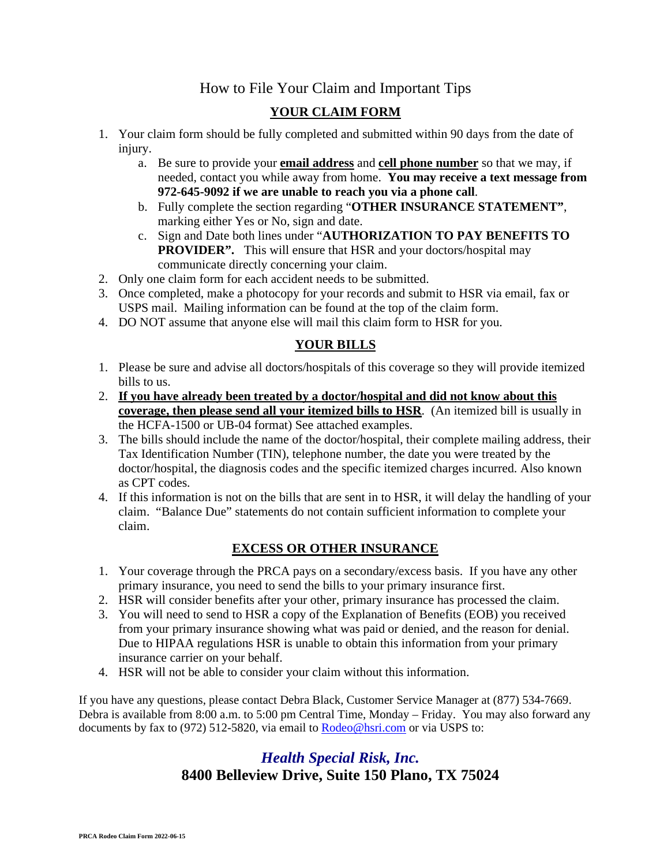## How to File Your Claim and Important Tips

### **YOUR CLAIM FORM**

- 1. Your claim form should be fully completed and submitted within 90 days from the date of injury.
	- a. Be sure to provide your **email address** and **cell phone number** so that we may, if needed, contact you while away from home. **You may receive a text message from 972-645-9092 if we are unable to reach you via a phone call**.
	- b. Fully complete the section regarding "**OTHER INSURANCE STATEMENT"**, marking either Yes or No, sign and date.
	- c. Sign and Date both lines under "**AUTHORIZATION TO PAY BENEFITS TO PROVIDER".** This will ensure that HSR and your doctors/hospital may communicate directly concerning your claim.
- 2. Only one claim form for each accident needs to be submitted.
- 3. Once completed, make a photocopy for your records and submit to HSR via email, fax or USPS mail. Mailing information can be found at the top of the claim form.
- 4. DO NOT assume that anyone else will mail this claim form to HSR for you.

### **YOUR BILLS**

- 1. Please be sure and advise all doctors/hospitals of this coverage so they will provide itemized bills to us.
- 2. **If you have already been treated by a doctor/hospital and did not know about this coverage, then please send all your itemized bills to HSR**. (An itemized bill is usually in the HCFA-1500 or UB-04 format) See attached examples.
- 3. The bills should include the name of the doctor/hospital, their complete mailing address, their Tax Identification Number (TIN), telephone number, the date you were treated by the doctor/hospital, the diagnosis codes and the specific itemized charges incurred. Also known as CPT codes.
- 4. If this information is not on the bills that are sent in to HSR, it will delay the handling of your claim. "Balance Due" statements do not contain sufficient information to complete your claim.

### **EXCESS OR OTHER INSURANCE**

- 1. Your coverage through the PRCA pays on a secondary/excess basis. If you have any other primary insurance, you need to send the bills to your primary insurance first.
- 2. HSR will consider benefits after your other, primary insurance has processed the claim.
- 3. You will need to send to HSR a copy of the Explanation of Benefits (EOB) you received from your primary insurance showing what was paid or denied, and the reason for denial. Due to HIPAA regulations HSR is unable to obtain this information from your primary insurance carrier on your behalf.
- 4. HSR will not be able to consider your claim without this information.

If you have any questions, please contact Debra Black, Customer Service Manager at (877) 534-7669. Debra is available from 8:00 a.m. to 5:00 pm Central Time, Monday – Friday. You may also forward any documents by fax to (972) 512-5820, via email to **Rodeo@hsri.com** or via USPS to:

## *Health Special Risk, Inc.*  **8400 Belleview Drive, Suite 150 Plano, TX 75024**